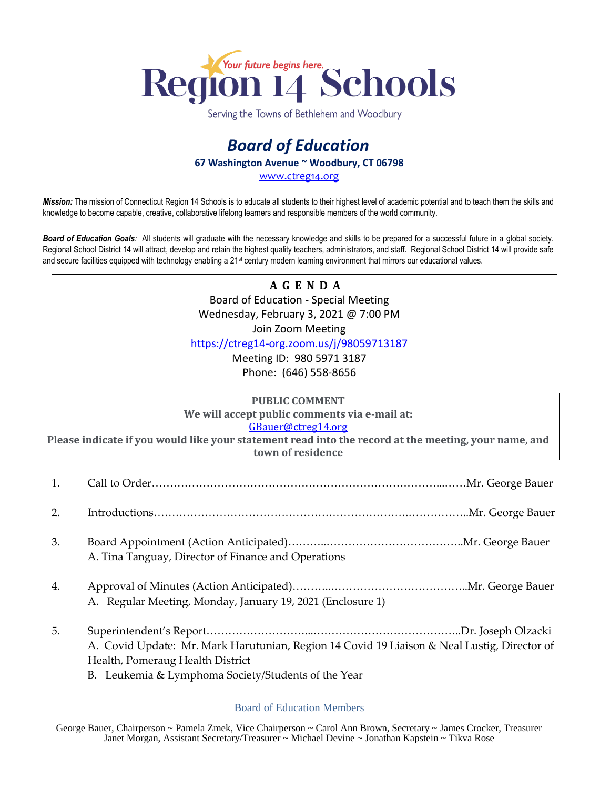

Serving the Towns of Bethlehem and Woodbury

## *Board of Education* **67 Washington Avenue ~ Woodbury, CT 06798**

[www.ctreg14.org](http://www.ctreg14.org/)

*Mission:* The mission of Connecticut Region 14 Schools is to educate all students to their highest level of academic potential and to teach them the skills and knowledge to become capable, creative, collaborative lifelong learners and responsible members of the world community.

*Board of Education Goals:* All students will graduate with the necessary knowledge and skills to be prepared for a successful future in a global society. Regional School District 14 will attract, develop and retain the highest quality teachers, administrators, and staff. Regional School District 14 will provide safe and secure facilities equipped with technology enabling a 21<sup>st</sup> century modern learning environment that mirrors our educational values.

> **A G E N D A** Board of Education - Special Meeting Wednesday, February 3, 2021 @ 7:00 PM Join Zoom Meeting

<https://ctreg14-org.zoom.us/j/98059713187>

Meeting ID: 980 5971 3187 Phone: (646) 558-8656

|                                                                                                      | <b>PUBLIC COMMENT</b>                                                                       |
|------------------------------------------------------------------------------------------------------|---------------------------------------------------------------------------------------------|
|                                                                                                      | We will accept public comments via e-mail at:                                               |
|                                                                                                      | GBauer@ctreg14.org                                                                          |
| Please indicate if you would like your statement read into the record at the meeting, your name, and |                                                                                             |
| town of residence                                                                                    |                                                                                             |
|                                                                                                      |                                                                                             |
| 1.                                                                                                   |                                                                                             |
|                                                                                                      |                                                                                             |
| 2.                                                                                                   |                                                                                             |
|                                                                                                      |                                                                                             |
| 3.                                                                                                   |                                                                                             |
|                                                                                                      | A. Tina Tanguay, Director of Finance and Operations                                         |
|                                                                                                      |                                                                                             |
|                                                                                                      |                                                                                             |
| 4.                                                                                                   |                                                                                             |
|                                                                                                      | A. Regular Meeting, Monday, January 19, 2021 (Enclosure 1)                                  |
|                                                                                                      |                                                                                             |
| 5.                                                                                                   |                                                                                             |
|                                                                                                      | A. Covid Update: Mr. Mark Harutunian, Region 14 Covid 19 Liaison & Neal Lustig, Director of |
|                                                                                                      | Health, Pomeraug Health District                                                            |
|                                                                                                      | B. Leukemia & Lymphoma Society/Students of the Year                                         |
|                                                                                                      |                                                                                             |

## Board of Education Members

George Bauer, Chairperson ~ Pamela Zmek, Vice Chairperson ~ Carol Ann Brown, Secretary ~ James Crocker, Treasurer Janet Morgan, Assistant Secretary/Treasurer ~ Michael Devine ~ Jonathan Kapstein ~ Tikva Rose